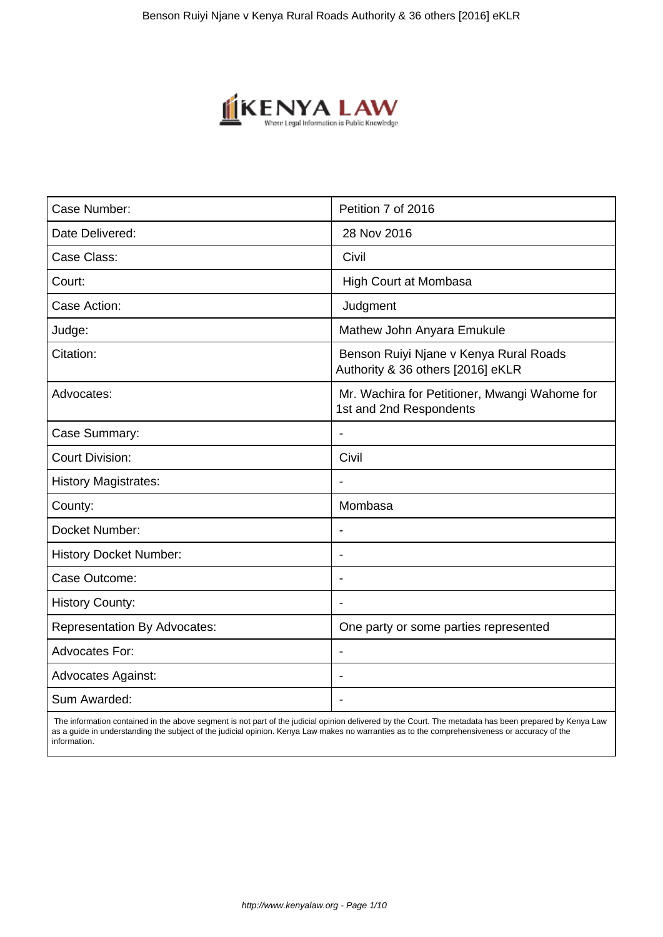

| Case Number:                        | Petition 7 of 2016                                                          |
|-------------------------------------|-----------------------------------------------------------------------------|
| Date Delivered:                     | 28 Nov 2016                                                                 |
| Case Class:                         | Civil                                                                       |
| Court:                              | High Court at Mombasa                                                       |
| Case Action:                        | Judgment                                                                    |
| Judge:                              | Mathew John Anyara Emukule                                                  |
| Citation:                           | Benson Ruiyi Njane v Kenya Rural Roads<br>Authority & 36 others [2016] eKLR |
| Advocates:                          | Mr. Wachira for Petitioner, Mwangi Wahome for<br>1st and 2nd Respondents    |
| Case Summary:                       | $\blacksquare$                                                              |
| <b>Court Division:</b>              | Civil                                                                       |
| <b>History Magistrates:</b>         |                                                                             |
| County:                             | Mombasa                                                                     |
| Docket Number:                      | $\blacksquare$                                                              |
| <b>History Docket Number:</b>       |                                                                             |
| Case Outcome:                       |                                                                             |
| <b>History County:</b>              |                                                                             |
| <b>Representation By Advocates:</b> | One party or some parties represented                                       |
| <b>Advocates For:</b>               |                                                                             |
| <b>Advocates Against:</b>           |                                                                             |
| Sum Awarded:                        |                                                                             |

 The information contained in the above segment is not part of the judicial opinion delivered by the Court. The metadata has been prepared by Kenya Law as a guide in understanding the subject of the judicial opinion. Kenya Law makes no warranties as to the comprehensiveness or accuracy of the information.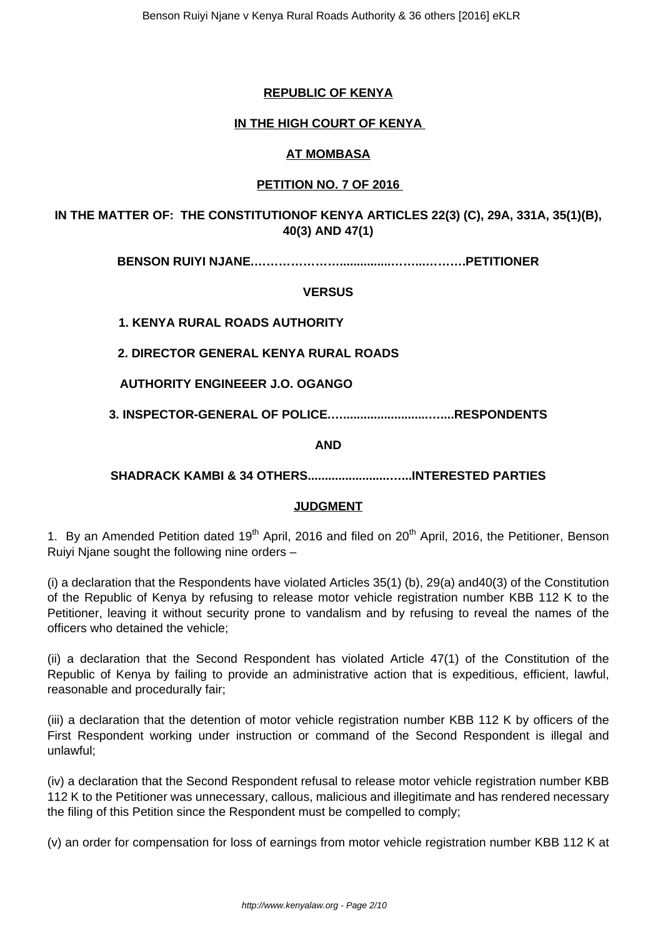# **REPUBLIC OF KENYA**

## **IN THE HIGH COURT OF KENYA**

### **AT MOMBASA**

# **PETITION NO. 7 OF 2016**

**IN THE MATTER OF: THE CONSTITUTIONOF KENYA ARTICLES 22(3) (C), 29A, 331A, 35(1)(B), 40(3) AND 47(1)**

**BENSON RUIYI NJANE.…………………...............……...……….PETITIONER**

**VERSUS**

**1. KENYA RURAL ROADS AUTHORITY**

**2. DIRECTOR GENERAL KENYA RURAL ROADS**

**AUTHORITY ENGINEEER J.O. OGANGO**

**3. INSPECTOR-GENERAL OF POLICE.….........................…....RESPONDENTS**

**AND**

**SHADRACK KAMBI & 34 OTHERS........................…...INTERESTED PARTIES**

### **JUDGMENT**

1. By an Amended Petition dated 19<sup>th</sup> April, 2016 and filed on 20<sup>th</sup> April, 2016, the Petitioner, Benson Ruiyi Njane sought the following nine orders –

(i) a declaration that the Respondents have violated Articles 35(1) (b), 29(a) and40(3) of the Constitution of the Republic of Kenya by refusing to release motor vehicle registration number KBB 112 K to the Petitioner, leaving it without security prone to vandalism and by refusing to reveal the names of the officers who detained the vehicle;

(ii) a declaration that the Second Respondent has violated Article 47(1) of the Constitution of the Republic of Kenya by failing to provide an administrative action that is expeditious, efficient, lawful, reasonable and procedurally fair;

(iii) a declaration that the detention of motor vehicle registration number KBB 112 K by officers of the First Respondent working under instruction or command of the Second Respondent is illegal and unlawful;

(iv) a declaration that the Second Respondent refusal to release motor vehicle registration number KBB 112 K to the Petitioner was unnecessary, callous, malicious and illegitimate and has rendered necessary the filing of this Petition since the Respondent must be compelled to comply;

(v) an order for compensation for loss of earnings from motor vehicle registration number KBB 112 K at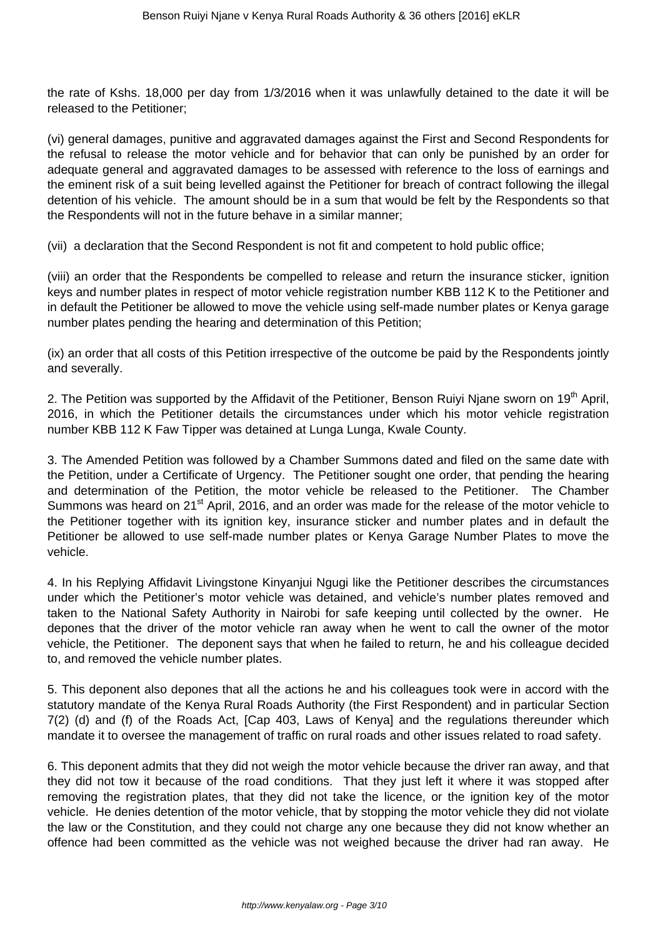the rate of Kshs. 18,000 per day from 1/3/2016 when it was unlawfully detained to the date it will be released to the Petitioner;

(vi) general damages, punitive and aggravated damages against the First and Second Respondents for the refusal to release the motor vehicle and for behavior that can only be punished by an order for adequate general and aggravated damages to be assessed with reference to the loss of earnings and the eminent risk of a suit being levelled against the Petitioner for breach of contract following the illegal detention of his vehicle. The amount should be in a sum that would be felt by the Respondents so that the Respondents will not in the future behave in a similar manner;

(vii) a declaration that the Second Respondent is not fit and competent to hold public office;

(viii) an order that the Respondents be compelled to release and return the insurance sticker, ignition keys and number plates in respect of motor vehicle registration number KBB 112 K to the Petitioner and in default the Petitioner be allowed to move the vehicle using self-made number plates or Kenya garage number plates pending the hearing and determination of this Petition;

(ix) an order that all costs of this Petition irrespective of the outcome be paid by the Respondents jointly and severally.

2. The Petition was supported by the Affidavit of the Petitioner, Benson Ruivi Niane sworn on 19<sup>th</sup> April, 2016, in which the Petitioner details the circumstances under which his motor vehicle registration number KBB 112 K Faw Tipper was detained at Lunga Lunga, Kwale County.

3. The Amended Petition was followed by a Chamber Summons dated and filed on the same date with the Petition, under a Certificate of Urgency. The Petitioner sought one order, that pending the hearing and determination of the Petition, the motor vehicle be released to the Petitioner. The Chamber Summons was heard on 21<sup>st</sup> April, 2016, and an order was made for the release of the motor vehicle to the Petitioner together with its ignition key, insurance sticker and number plates and in default the Petitioner be allowed to use self-made number plates or Kenya Garage Number Plates to move the vehicle.

4. In his Replying Affidavit Livingstone Kinyanjui Ngugi like the Petitioner describes the circumstances under which the Petitioner's motor vehicle was detained, and vehicle's number plates removed and taken to the National Safety Authority in Nairobi for safe keeping until collected by the owner. He depones that the driver of the motor vehicle ran away when he went to call the owner of the motor vehicle, the Petitioner. The deponent says that when he failed to return, he and his colleague decided to, and removed the vehicle number plates.

5. This deponent also depones that all the actions he and his colleagues took were in accord with the statutory mandate of the Kenya Rural Roads Authority (the First Respondent) and in particular Section 7(2) (d) and (f) of the Roads Act, [Cap 403, Laws of Kenya] and the regulations thereunder which mandate it to oversee the management of traffic on rural roads and other issues related to road safety.

6. This deponent admits that they did not weigh the motor vehicle because the driver ran away, and that they did not tow it because of the road conditions. That they just left it where it was stopped after removing the registration plates, that they did not take the licence, or the ignition key of the motor vehicle. He denies detention of the motor vehicle, that by stopping the motor vehicle they did not violate the law or the Constitution, and they could not charge any one because they did not know whether an offence had been committed as the vehicle was not weighed because the driver had ran away. He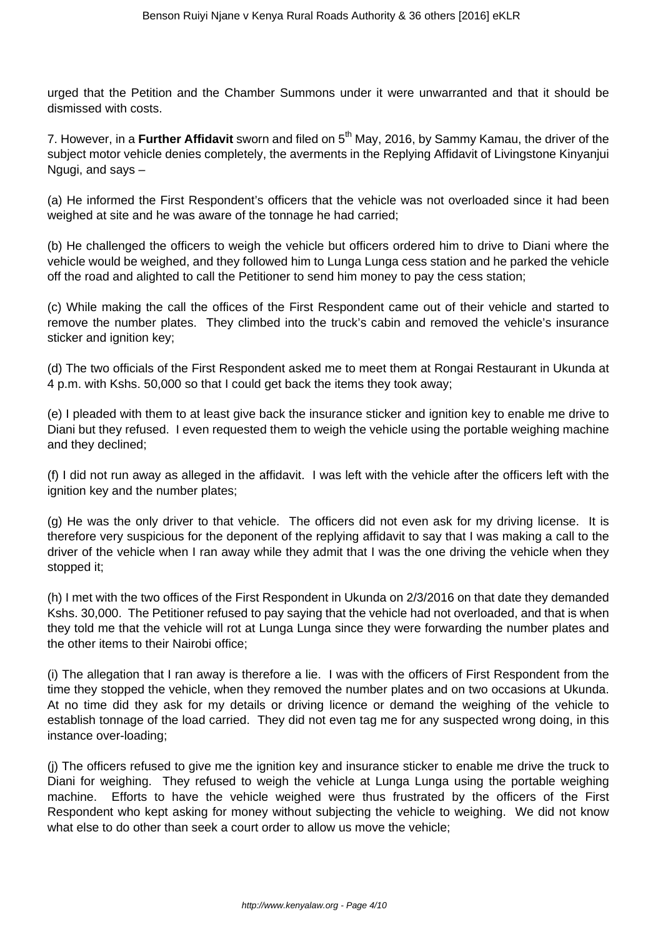urged that the Petition and the Chamber Summons under it were unwarranted and that it should be dismissed with costs.

7. However, in a **Further Affidavit** sworn and filed on 5<sup>th</sup> May, 2016, by Sammy Kamau, the driver of the subject motor vehicle denies completely, the averments in the Replying Affidavit of Livingstone Kinyanjui Ngugi, and says –

(a) He informed the First Respondent's officers that the vehicle was not overloaded since it had been weighed at site and he was aware of the tonnage he had carried;

(b) He challenged the officers to weigh the vehicle but officers ordered him to drive to Diani where the vehicle would be weighed, and they followed him to Lunga Lunga cess station and he parked the vehicle off the road and alighted to call the Petitioner to send him money to pay the cess station;

(c) While making the call the offices of the First Respondent came out of their vehicle and started to remove the number plates. They climbed into the truck's cabin and removed the vehicle's insurance sticker and ignition key;

(d) The two officials of the First Respondent asked me to meet them at Rongai Restaurant in Ukunda at 4 p.m. with Kshs. 50,000 so that I could get back the items they took away;

(e) I pleaded with them to at least give back the insurance sticker and ignition key to enable me drive to Diani but they refused. I even requested them to weigh the vehicle using the portable weighing machine and they declined;

(f) I did not run away as alleged in the affidavit. I was left with the vehicle after the officers left with the ignition key and the number plates;

(g) He was the only driver to that vehicle. The officers did not even ask for my driving license. It is therefore very suspicious for the deponent of the replying affidavit to say that I was making a call to the driver of the vehicle when I ran away while they admit that I was the one driving the vehicle when they stopped it;

(h) I met with the two offices of the First Respondent in Ukunda on 2/3/2016 on that date they demanded Kshs. 30,000. The Petitioner refused to pay saying that the vehicle had not overloaded, and that is when they told me that the vehicle will rot at Lunga Lunga since they were forwarding the number plates and the other items to their Nairobi office;

(i) The allegation that I ran away is therefore a lie. I was with the officers of First Respondent from the time they stopped the vehicle, when they removed the number plates and on two occasions at Ukunda. At no time did they ask for my details or driving licence or demand the weighing of the vehicle to establish tonnage of the load carried. They did not even tag me for any suspected wrong doing, in this instance over-loading;

(j) The officers refused to give me the ignition key and insurance sticker to enable me drive the truck to Diani for weighing. They refused to weigh the vehicle at Lunga Lunga using the portable weighing machine. Efforts to have the vehicle weighed were thus frustrated by the officers of the First Respondent who kept asking for money without subjecting the vehicle to weighing. We did not know what else to do other than seek a court order to allow us move the vehicle;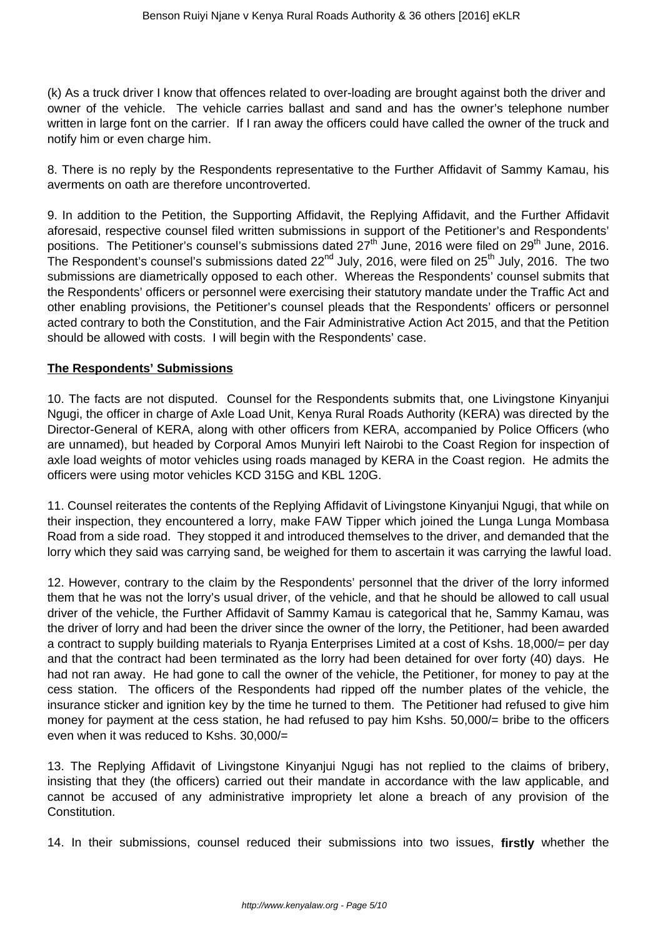(k) As a truck driver I know that offences related to over-loading are brought against both the driver and owner of the vehicle. The vehicle carries ballast and sand and has the owner's telephone number written in large font on the carrier. If I ran away the officers could have called the owner of the truck and notify him or even charge him.

8. There is no reply by the Respondents representative to the Further Affidavit of Sammy Kamau, his averments on oath are therefore uncontroverted.

9. In addition to the Petition, the Supporting Affidavit, the Replying Affidavit, and the Further Affidavit aforesaid, respective counsel filed written submissions in support of the Petitioner's and Respondents' positions. The Petitioner's counsel's submissions dated  $27<sup>th</sup>$  June, 2016 were filed on  $29<sup>th</sup>$  June, 2016. The Respondent's counsel's submissions dated 22<sup>nd</sup> July, 2016, were filed on 25<sup>th</sup> July, 2016. The two submissions are diametrically opposed to each other. Whereas the Respondents' counsel submits that the Respondents' officers or personnel were exercising their statutory mandate under the Traffic Act and other enabling provisions, the Petitioner's counsel pleads that the Respondents' officers or personnel acted contrary to both the Constitution, and the Fair Administrative Action Act 2015, and that the Petition should be allowed with costs. I will begin with the Respondents' case.

## **The Respondents' Submissions**

10. The facts are not disputed. Counsel for the Respondents submits that, one Livingstone Kinyanjui Ngugi, the officer in charge of Axle Load Unit, Kenya Rural Roads Authority (KERA) was directed by the Director-General of KERA, along with other officers from KERA, accompanied by Police Officers (who are unnamed), but headed by Corporal Amos Munyiri left Nairobi to the Coast Region for inspection of axle load weights of motor vehicles using roads managed by KERA in the Coast region. He admits the officers were using motor vehicles KCD 315G and KBL 120G.

11. Counsel reiterates the contents of the Replying Affidavit of Livingstone Kinyanjui Ngugi, that while on their inspection, they encountered a lorry, make FAW Tipper which joined the Lunga Lunga Mombasa Road from a side road. They stopped it and introduced themselves to the driver, and demanded that the lorry which they said was carrying sand, be weighed for them to ascertain it was carrying the lawful load.

12. However, contrary to the claim by the Respondents' personnel that the driver of the lorry informed them that he was not the lorry's usual driver, of the vehicle, and that he should be allowed to call usual driver of the vehicle, the Further Affidavit of Sammy Kamau is categorical that he, Sammy Kamau, was the driver of lorry and had been the driver since the owner of the lorry, the Petitioner, had been awarded a contract to supply building materials to Ryanja Enterprises Limited at a cost of Kshs. 18,000/= per day and that the contract had been terminated as the lorry had been detained for over forty (40) days. He had not ran away. He had gone to call the owner of the vehicle, the Petitioner, for money to pay at the cess station. The officers of the Respondents had ripped off the number plates of the vehicle, the insurance sticker and ignition key by the time he turned to them. The Petitioner had refused to give him money for payment at the cess station, he had refused to pay him Kshs. 50,000/= bribe to the officers even when it was reduced to Kshs. 30,000/=

13. The Replying Affidavit of Livingstone Kinyanjui Ngugi has not replied to the claims of bribery, insisting that they (the officers) carried out their mandate in accordance with the law applicable, and cannot be accused of any administrative impropriety let alone a breach of any provision of the Constitution.

14. In their submissions, counsel reduced their submissions into two issues, **firstly** whether the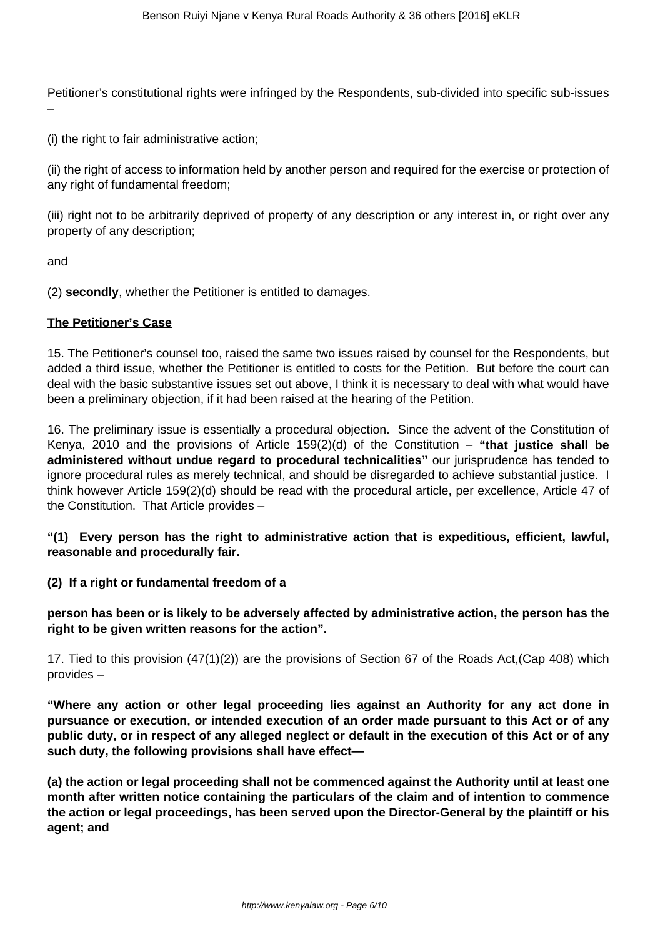Petitioner's constitutional rights were infringed by the Respondents, sub-divided into specific sub-issues –

(i) the right to fair administrative action;

(ii) the right of access to information held by another person and required for the exercise or protection of any right of fundamental freedom:

(iii) right not to be arbitrarily deprived of property of any description or any interest in, or right over any property of any description;

and

(2) **secondly**, whether the Petitioner is entitled to damages.

#### **The Petitioner's Case**

15. The Petitioner's counsel too, raised the same two issues raised by counsel for the Respondents, but added a third issue, whether the Petitioner is entitled to costs for the Petition. But before the court can deal with the basic substantive issues set out above, I think it is necessary to deal with what would have been a preliminary objection, if it had been raised at the hearing of the Petition.

16. The preliminary issue is essentially a procedural objection. Since the advent of the Constitution of Kenya, 2010 and the provisions of Article 159(2)(d) of the Constitution – **"that justice shall be administered without undue regard to procedural technicalities"** our jurisprudence has tended to ignore procedural rules as merely technical, and should be disregarded to achieve substantial justice. I think however Article 159(2)(d) should be read with the procedural article, per excellence, Article 47 of the Constitution. That Article provides –

**"(1) Every person has the right to administrative action that is expeditious, efficient, lawful, reasonable and procedurally fair.** 

**(2) If a right or fundamental freedom of a** 

**person has been or is likely to be adversely affected by administrative action, the person has the right to be given written reasons for the action".**

17. Tied to this provision (47(1)(2)) are the provisions of Section 67 of the Roads Act,(Cap 408) which provides –

**"Where any action or other legal proceeding lies against an Authority for any act done in pursuance or execution, or intended execution of an order made pursuant to this Act or of any public duty, or in respect of any alleged neglect or default in the execution of this Act or of any such duty, the following provisions shall have effect—** 

**(a) the action or legal proceeding shall not be commenced against the Authority until at least one month after written notice containing the particulars of the claim and of intention to commence the action or legal proceedings, has been served upon the Director-General by the plaintiff or his agent; and**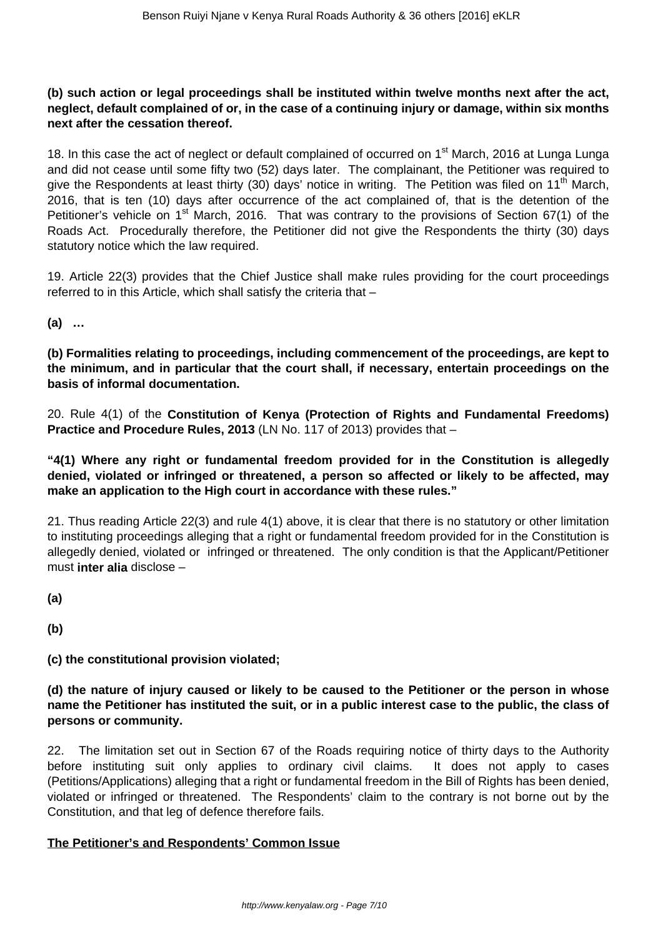# **(b) such action or legal proceedings shall be instituted within twelve months next after the act, neglect, default complained of or, in the case of a continuing injury or damage, within six months next after the cessation thereof.**

18. In this case the act of neglect or default complained of occurred on 1<sup>st</sup> March, 2016 at Lunga Lunga and did not cease until some fifty two (52) days later. The complainant, the Petitioner was required to give the Respondents at least thirty (30) days' notice in writing. The Petition was filed on 11<sup>th</sup> March, 2016, that is ten (10) days after occurrence of the act complained of, that is the detention of the Petitioner's vehicle on  $1<sup>st</sup>$  March, 2016. That was contrary to the provisions of Section 67(1) of the Roads Act. Procedurally therefore, the Petitioner did not give the Respondents the thirty (30) days statutory notice which the law required.

19. Article 22(3) provides that the Chief Justice shall make rules providing for the court proceedings referred to in this Article, which shall satisfy the criteria that –

**(a) …**

**(b) Formalities relating to proceedings, including commencement of the proceedings, are kept to the minimum, and in particular that the court shall, if necessary, entertain proceedings on the basis of informal documentation.**

20. Rule 4(1) of the **Constitution of Kenya (Protection of Rights and Fundamental Freedoms) Practice and Procedure Rules, 2013** (LN No. 117 of 2013) provides that –

**"4(1) Where any right or fundamental freedom provided for in the Constitution is allegedly denied, violated or infringed or threatened, a person so affected or likely to be affected, may make an application to the High court in accordance with these rules."**

21. Thus reading Article 22(3) and rule 4(1) above, it is clear that there is no statutory or other limitation to instituting proceedings alleging that a right or fundamental freedom provided for in the Constitution is allegedly denied, violated or infringed or threatened. The only condition is that the Applicant/Petitioner must **inter alia** disclose –

**(a)**

**(b)**

### **(c) the constitutional provision violated;**

**(d) the nature of injury caused or likely to be caused to the Petitioner or the person in whose name the Petitioner has instituted the suit, or in a public interest case to the public, the class of persons or community.**

22. The limitation set out in Section 67 of the Roads requiring notice of thirty days to the Authority before instituting suit only applies to ordinary civil claims. It does not apply to cases (Petitions/Applications) alleging that a right or fundamental freedom in the Bill of Rights has been denied, violated or infringed or threatened. The Respondents' claim to the contrary is not borne out by the Constitution, and that leg of defence therefore fails.

# **The Petitioner's and Respondents' Common Issue**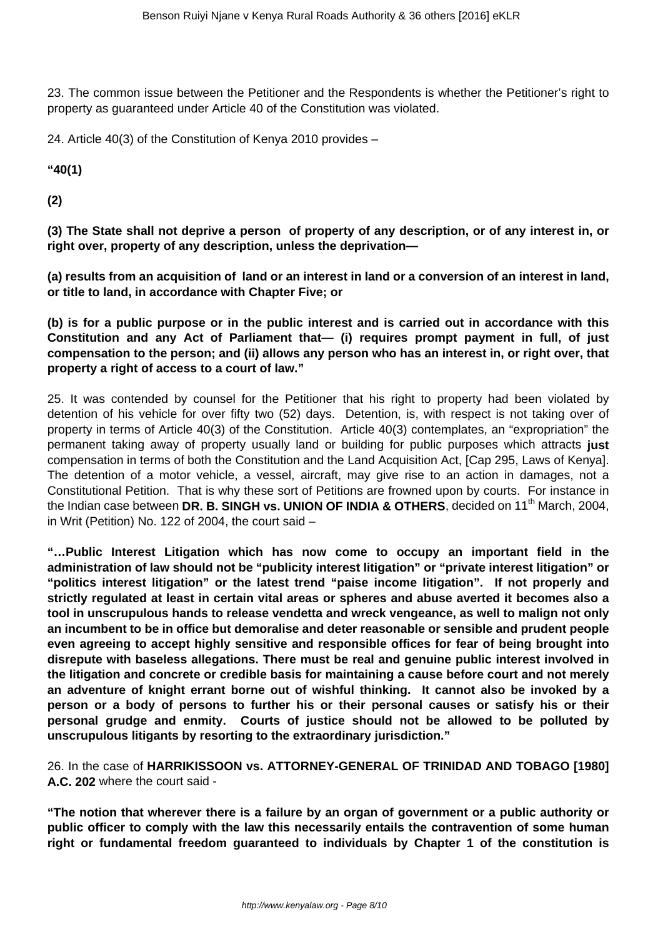23. The common issue between the Petitioner and the Respondents is whether the Petitioner's right to property as guaranteed under Article 40 of the Constitution was violated.

24. Article 40(3) of the Constitution of Kenya 2010 provides –

**"40(1)**

**(2)**

**(3) The State shall not deprive a person of property of any description, or of any interest in, or right over, property of any description, unless the deprivation—** 

**(a) results from an acquisition of land or an interest in land or a conversion of an interest in land, or title to land, in accordance with Chapter Five; or** 

**(b) is for a public purpose or in the public interest and is carried out in accordance with this Constitution and any Act of Parliament that— (i) requires prompt payment in full, of just compensation to the person; and (ii) allows any person who has an interest in, or right over, that property a right of access to a court of law."**

25. It was contended by counsel for the Petitioner that his right to property had been violated by detention of his vehicle for over fifty two (52) days. Detention, is, with respect is not taking over of property in terms of Article 40(3) of the Constitution. Article 40(3) contemplates, an "expropriation" the permanent taking away of property usually land or building for public purposes which attracts **just** compensation in terms of both the Constitution and the Land Acquisition Act, [Cap 295, Laws of Kenya]. The detention of a motor vehicle, a vessel, aircraft, may give rise to an action in damages, not a Constitutional Petition. That is why these sort of Petitions are frowned upon by courts. For instance in the Indian case between **DR. B. SINGH vs. UNION OF INDIA & OTHERS**, decided on 11<sup>th</sup> March, 2004, in Writ (Petition) No. 122 of 2004, the court said –

**"…Public Interest Litigation which has now come to occupy an important field in the administration of law should not be "publicity interest litigation" or "private interest litigation" or "politics interest litigation" or the latest trend "paise income litigation". If not properly and strictly regulated at least in certain vital areas or spheres and abuse averted it becomes also a tool in unscrupulous hands to release vendetta and wreck vengeance, as well to malign not only an incumbent to be in office but demoralise and deter reasonable or sensible and prudent people even agreeing to accept highly sensitive and responsible offices for fear of being brought into disrepute with baseless allegations. There must be real and genuine public interest involved in the litigation and concrete or credible basis for maintaining a cause before court and not merely an adventure of knight errant borne out of wishful thinking. It cannot also be invoked by a person or a body of persons to further his or their personal causes or satisfy his or their personal grudge and enmity. Courts of justice should not be allowed to be polluted by unscrupulous litigants by resorting to the extraordinary jurisdiction."**

26. In the case of **HARRIKISSOON vs. ATTORNEY-GENERAL OF TRINIDAD AND TOBAGO [1980] A.C. 202** where the court said -

**"The notion that wherever there is a failure by an organ of government or a public authority or public officer to comply with the law this necessarily entails the contravention of some human right or fundamental freedom guaranteed to individuals by Chapter 1 of the constitution is**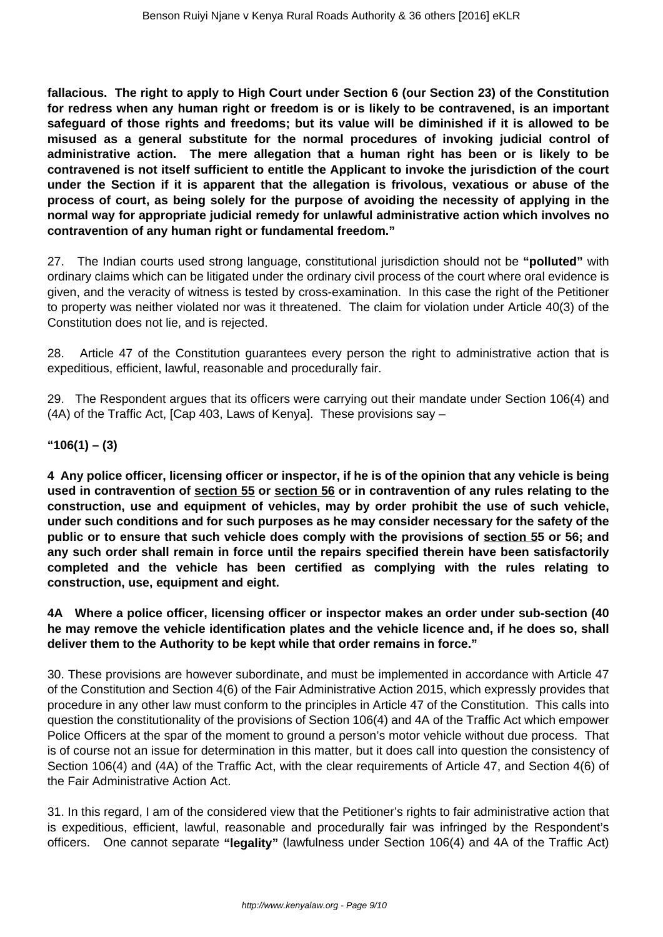**fallacious. The right to apply to High Court under Section 6 (our Section 23) of the Constitution for redress when any human right or freedom is or is likely to be contravened, is an important safeguard of those rights and freedoms; but its value will be diminished if it is allowed to be misused as a general substitute for the normal procedures of invoking judicial control of administrative action. The mere allegation that a human right has been or is likely to be contravened is not itself sufficient to entitle the Applicant to invoke the jurisdiction of the court under the Section if it is apparent that the allegation is frivolous, vexatious or abuse of the process of court, as being solely for the purpose of avoiding the necessity of applying in the normal way for appropriate judicial remedy for unlawful administrative action which involves no contravention of any human right or fundamental freedom."**

27. The Indian courts used strong language, constitutional jurisdiction should not be **"polluted"** with ordinary claims which can be litigated under the ordinary civil process of the court where oral evidence is given, and the veracity of witness is tested by cross-examination. In this case the right of the Petitioner to property was neither violated nor was it threatened. The claim for violation under Article 40(3) of the Constitution does not lie, and is rejected.

28. Article 47 of the Constitution guarantees every person the right to administrative action that is expeditious, efficient, lawful, reasonable and procedurally fair.

29. The Respondent argues that its officers were carrying out their mandate under Section 106(4) and (4A) of the Traffic Act, [Cap 403, Laws of Kenya]. These provisions say –

### **"106(1) – (3)**

**4 Any police officer, licensing officer or inspector, if he is of the opinion that any vehicle is being used in contravention of section 55 or section 56 or in contravention of any rules relating to the construction, use and equipment of vehicles, may by order prohibit the use of such vehicle, under such conditions and for such purposes as he may consider necessary for the safety of the public or to ensure that such vehicle does comply with the provisions of section 55 or 56; and any such order shall remain in force until the repairs specified therein have been satisfactorily completed and the vehicle has been certified as complying with the rules relating to construction, use, equipment and eight.**

**4A Where a police officer, licensing officer or inspector makes an order under sub-section (40 he may remove the vehicle identification plates and the vehicle licence and, if he does so, shall deliver them to the Authority to be kept while that order remains in force."**

30. These provisions are however subordinate, and must be implemented in accordance with Article 47 of the Constitution and Section 4(6) of the Fair Administrative Action 2015, which expressly provides that procedure in any other law must conform to the principles in Article 47 of the Constitution. This calls into question the constitutionality of the provisions of Section 106(4) and 4A of the Traffic Act which empower Police Officers at the spar of the moment to ground a person's motor vehicle without due process. That is of course not an issue for determination in this matter, but it does call into question the consistency of Section 106(4) and (4A) of the Traffic Act, with the clear requirements of Article 47, and Section 4(6) of the Fair Administrative Action Act.

31. In this regard, I am of the considered view that the Petitioner's rights to fair administrative action that is expeditious, efficient, lawful, reasonable and procedurally fair was infringed by the Respondent's officers. One cannot separate **"legality"** (lawfulness under Section 106(4) and 4A of the Traffic Act)